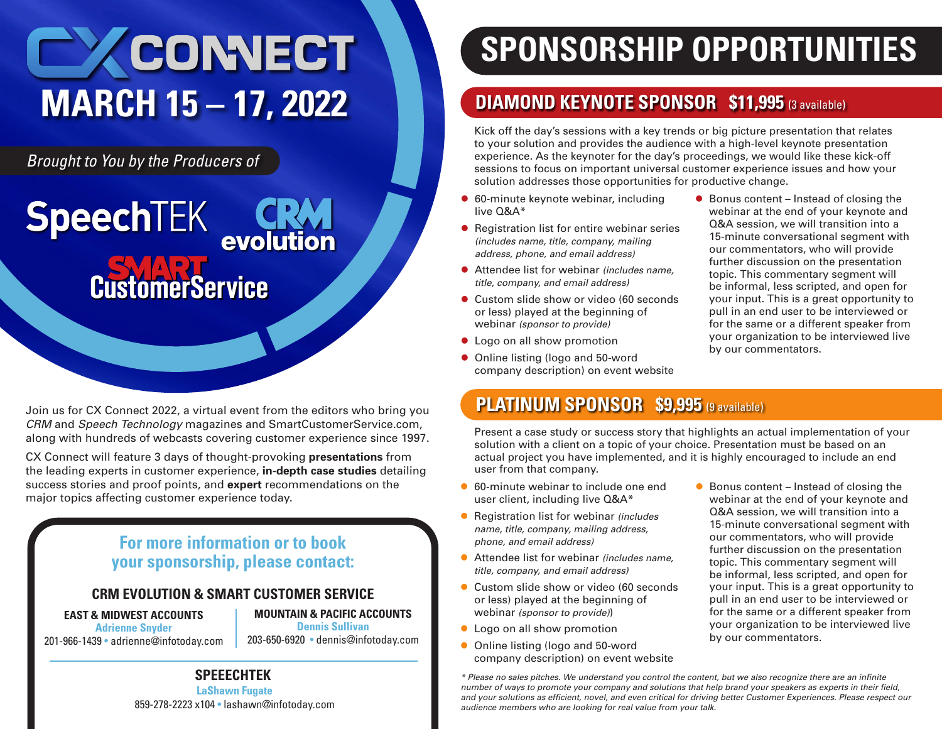# CONNECT **MARCH 15 – 17, 2022**

**CustomerService** 

*Brought to You by the Producers of*

**SpeechTEK** 

Join us for CX Connect 2022, a virtual event from the editors who bring you *CRM* and *Speech Technology* magazines and SmartCustome[rService.com,](http://Service.com) along with hundreds of webcasts covering customer experience since 1997.

**CRATE**<br>evolution

CX Connect will feature 3 days of thought-provoking **presentations** from the leading experts in customer experience, **in-depth case studies** detailing success stories and proof points, and **expert** recommendations on the major topics affecting customer experience today.

## **For more information or to book your sponsorship, please contact:**

#### **CRM EVOLUTION & SMART CUSTOMER SERVICE**

**EAST & MIDWEST ACCOUNTS** 

**Adrienne Snyder** 201-966-1439 • [adrienne@infotoday.com](mailto:adrienne@infotoday.com)

**MOUNTAIN & PACIFIC ACCOUNTS Dennis Sullivan** 203-650-6920 • [dennis@infotoday.com](mailto:dennis@infotoday.com)

# **SPONSORSHIP OPPORTUNITIES**

# **DIAMOND KEYNOTE SPONSOR \$11,995** (3 available)

Kick off the day's sessions with a key trends or big picture presentation that relates to your solution and provides the audience with a high-level keynote presentation experience. As the keynoter for the day's proceedings, we would like these kick-off sessions to focus on important universal customer experience issues and how your solution addresses those opportunities for productive change.

- 60-minute keynote webinar, including live Q&A\*
- **Registration list for entire webinar series** *(includes name, title, company, mailing address, phone, and email address)*
- Attendee list for webinar *(includes name, title, company, and email address)*
- Custom slide show or video (60 seconds or less) played at the beginning of webinar *(sponsor to provide)*
- Logo on all show promotion
- Online listing (logo and 50-word company description) on event website
- $\bullet$  Bonus content Instead of closing the webinar at the end of your keynote and Q&A session, we will transition into a 15-minute conversational segment with our commentators, who will provide further discussion on the presentation topic. This commentary segment will be informal, less scripted, and open for your input. This is a great opportunity to pull in an end user to be interviewed or for the same or a different speaker from your organization to be interviewed live by our commentators.

# **PLATINUM SPONSOR \$9,995** (9 available)

Present a case study or success story that highlights an actual implementation of your solution with a client on a topic of your choice. Presentation must be based on an actual project you have implemented, and it is highly encouraged to include an end user from that company.

- 60-minute webinar to include one end user client, including live Q&A\*
- **Registration list for webinar** *(includes name, title, company, mailing address, phone, and email address)*
- Attendee list for webinar *(includes name, title, company, and email address)*
- Custom slide show or video (60 seconds or less) played at the beginning of webinar *(sponsor to provide)*)
- **Logo on all show promotion**
- **Online listing (logo and 50-word** company description) on event website
- $\bullet$  Bonus content Instead of closing the webinar at the end of your keynote and Q&A session, we will transition into a 15-minute conversational segment with our commentators, who will provide further discussion on the presentation topic. This commentary segment will be informal, less scripted, and open for your input. This is a great opportunity to pull in an end user to be interviewed or for the same or a different speaker from your organization to be interviewed live by our commentators.

*\* Please no sales pitches. We understand you control the content, but we also recognize there are an infinite number of ways to promote your company and solutions that help brand your speakers as experts in their field, and your solutions as efficient, novel, and even critical for driving better Customer Experiences. Please respect our audience members who are looking for real value from your talk.* 

**LaShawn Fugate SPEEECHTEK** 

859-278-2223 x104 • [lashawn@infotoday.com](mailto:lashawn@infotoday.com)